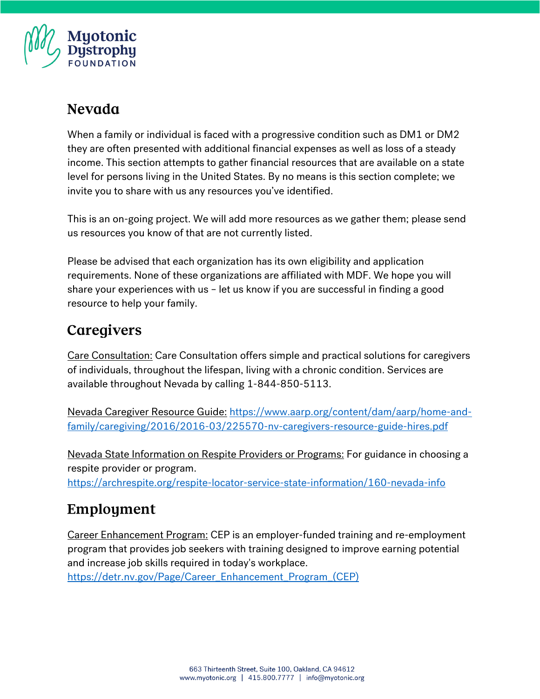

#### **Nevada**

When a family or individual is faced with a progressive condition such as DM1 or DM2 they are often presented with additional financial expenses as well as loss of a steady income. This section attempts to gather financial resources that are available on a state level for persons living in the United States. By no means is this section complete; we invite you to share with us any resources you've identified.

This is an on-going project. We will add more resources as we gather them; please send us resources you know of that are not currently listed.

Please be advised that each organization has its own eligibility and application requirements. None of these organizations are affiliated with MDF. We hope you will share your experiences with us – let us know if you are successful in finding a good resource to help your family.

# Caregivers

Care Consultation: Care Consultation offers simple and practical solutions for caregivers of individuals, throughout the lifespan, living with a chronic condition. Services are available throughout Nevada by calling 1-844-850-5113.

Nevada Caregiver Resource Guide: [https://www.aarp.org/content/dam/aarp/home-and](https://www.aarp.org/content/dam/aarp/home-and-family/caregiving/2016/2016-03/225570-nv-caregivers-resource-guide-hires.pdf)[family/caregiving/2016/2016-03/225570-nv-caregivers-resource-guide-hires.pdf](https://www.aarp.org/content/dam/aarp/home-and-family/caregiving/2016/2016-03/225570-nv-caregivers-resource-guide-hires.pdf)

Nevada State Information on Respite Providers or Programs: For guidance in choosing a respite provider or program. <https://archrespite.org/respite-locator-service-state-information/160-nevada-info>

# Employment

Career Enhancement Program: CEP is an employer-funded training and re-employment program that provides job seekers with training designed to improve earning potential and increase job skills required in today's workplace.

[https://detr.nv.gov/Page/Career\\_Enhancement\\_Program\\_\(CEP\)](https://detr.nv.gov/Page/Career_Enhancement_Program_(CEP))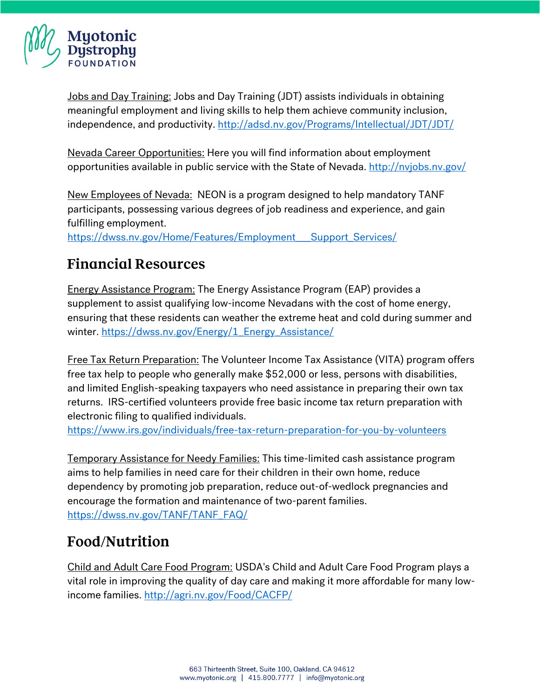

Jobs and Day Training: Jobs and Day Training (JDT) assists individuals in obtaining meaningful employment and living skills to help them achieve community inclusion, independence, and productivity.<http://adsd.nv.gov/Programs/Intellectual/JDT/JDT/>

Nevada Career Opportunities: Here you will find information about employment opportunities available in public service with the State of Nevada.<http://nvjobs.nv.gov/>

New Employees of Nevada: NEON is a program designed to help mandatory TANF participants, possessing various degrees of job readiness and experience, and gain fulfilling employment.

https://dwss.nv.gov/Home/Features/Employment\_\_Support\_Services/

### **Financial Resources**

Energy Assistance Program: The Energy Assistance Program (EAP) provides a supplement to assist qualifying low-income Nevadans with the cost of home energy, ensuring that these residents can weather the extreme heat and cold during summer and winter. [https://dwss.nv.gov/Energy/1\\_Energy\\_Assistance/](https://dwss.nv.gov/Energy/1_Energy_Assistance/)

Free Tax Return Preparation: The Volunteer Income Tax Assistance (VITA) program offers free tax help to people who generally make \$52,000 or less, persons with disabilities, and limited English-speaking taxpayers who need assistance in preparing their own tax returns. IRS-certified volunteers provide free basic income tax return preparation with electronic filing to qualified individuals.

<https://www.irs.gov/individuals/free-tax-return-preparation-for-you-by-volunteers>

Temporary Assistance for Needy Families: This time-limited cash assistance program aims to help families in need care for their children in their own home, reduce dependency by promoting job preparation, reduce out-of-wedlock pregnancies and encourage the formation and maintenance of two-parent families. [https://dwss.nv.gov/TANF/TANF\\_FAQ/](https://dwss.nv.gov/TANF/TANF_FAQ/)

#### Food/Nutrition

Child and Adult Care Food Program: USDA's Child and Adult Care Food Program plays a vital role in improving the quality of day care and making it more affordable for many lowincome families.<http://agri.nv.gov/Food/CACFP/>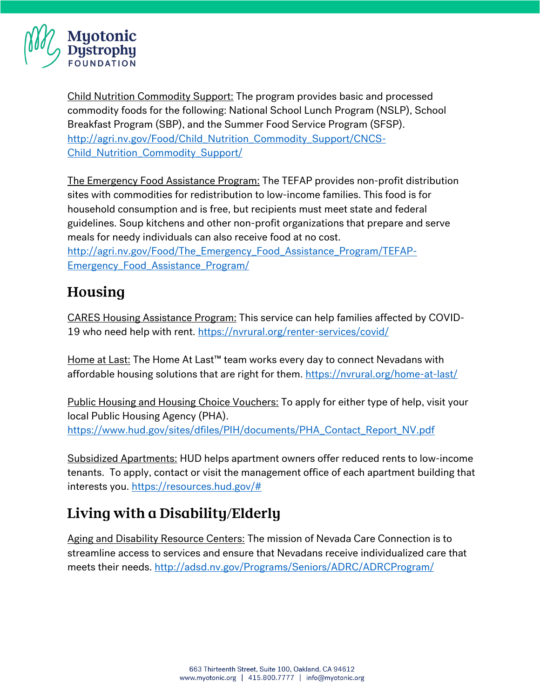

Child Nutrition Commodity Support: The program provides basic and processed commodity foods for the following: National School Lunch Program (NSLP), School Breakfast Program (SBP), and the Summer Food Service Program (SFSP). [http://agri.nv.gov/Food/Child\\_Nutrition\\_Commodity\\_Support/CNCS-](http://agri.nv.gov/Food/Child_Nutrition_Commodity_Support/CNCS-Child_Nutrition_Commodity_Support/)[Child\\_Nutrition\\_Commodity\\_Support/](http://agri.nv.gov/Food/Child_Nutrition_Commodity_Support/CNCS-Child_Nutrition_Commodity_Support/)

The Emergency Food Assistance Program: The TEFAP provides non-profit distribution sites with commodities for redistribution to low-income families. This food is for household consumption and is free, but recipients must meet state and federal guidelines. Soup kitchens and other non-profit organizations that prepare and serve meals for needy individuals can also receive food at no cost. [http://agri.nv.gov/Food/The\\_Emergency\\_Food\\_Assistance\\_Program/TEFAP-](http://agri.nv.gov/Food/The_Emergency_Food_Assistance_Program/TEFAP-Emergency_Food_Assistance_Program/)[Emergency\\_Food\\_Assistance\\_Program/](http://agri.nv.gov/Food/The_Emergency_Food_Assistance_Program/TEFAP-Emergency_Food_Assistance_Program/)

### Housing

CARES Housing Assistance Program: This service can help families affected by COVID19 who need help with rent.<https://nvrural.org/renter-services/covid/>

Home at Last: The Home At Last™ team works every day to connect Nevadans with affordable housing solutions that are right for them.<https://nvrural.org/home-at-last/>

Public Housing and Housing Choice Vouchers: To apply for either type of help, visit your local Public Housing Agency (PHA). [https://www.hud.gov/sites/dfiles/PIH/documents/PHA\\_Contact\\_Report\\_NV.pdf](https://www.hud.gov/sites/dfiles/PIH/documents/PHA_Contact_Report_NV.pdf)

Subsidized Apartments: HUD helps apartment owners offer reduced rents to low-income tenants. To apply, contact or visit the management office of each apartment building that interests you. [https://resources.hud.gov/#](https://resources.hud.gov/)

# Living with a Disability/Elderly

Aging and Disability Resource Centers: The mission of Nevada Care Connection is to streamline access to services and ensure that Nevadans receive individualized care that meets their needs.<http://adsd.nv.gov/Programs/Seniors/ADRC/ADRCProgram/>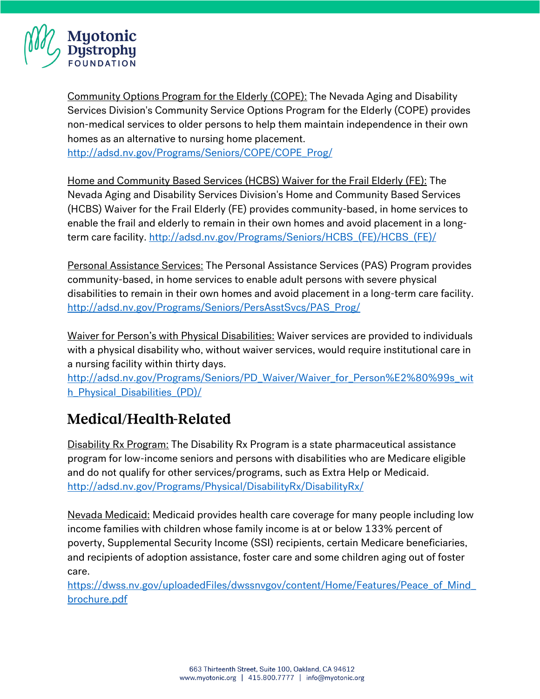

Community Options Program for the Elderly (COPE): The Nevada Aging and Disability Services Division's Community Service Options Program for the Elderly (COPE) provides non-medical services to older persons to help them maintain independence in their own homes as an alternative to nursing home placement. [http://adsd.nv.gov/Programs/Seniors/COPE/COPE\\_Prog/](http://adsd.nv.gov/Programs/Seniors/COPE/COPE_Prog/)

Home and Community Based Services (HCBS) Waiver for the Frail Elderly (FE): The Nevada Aging and Disability Services Division's Home and Community Based Services (HCBS) Waiver for the Frail Elderly (FE) provides community-based, in home services to enable the frail and elderly to remain in their own homes and avoid placement in a longterm care facility. [http://adsd.nv.gov/Programs/Seniors/HCBS\\_\(FE\)/HCBS\\_\(FE\)/](http://adsd.nv.gov/Programs/Seniors/HCBS_(FE)/HCBS_(FE)/)

Personal Assistance Services: The Personal Assistance Services (PAS) Program provides community-based, in home services to enable adult persons with severe physical disabilities to remain in their own homes and avoid placement in a long-term care facility. [http://adsd.nv.gov/Programs/Seniors/PersAsstSvcs/PAS\\_Prog/](http://adsd.nv.gov/Programs/Seniors/PersAsstSvcs/PAS_Prog/)

Waiver for Person's with Physical Disabilities: Waiver services are provided to individuals with a physical disability who, without waiver services, would require institutional care in a nursing facility within thirty days.

[http://adsd.nv.gov/Programs/Seniors/PD\\_Waiver/Waiver\\_for\\_Person%E2%80%99s\\_wit](http://adsd.nv.gov/Programs/Seniors/PD_Waiver/Waiver_for_Person%E2%80%99s_with_Physical_Disabilities_(PD)/) [h\\_Physical\\_Disabilities\\_\(PD\)/](http://adsd.nv.gov/Programs/Seniors/PD_Waiver/Waiver_for_Person%E2%80%99s_with_Physical_Disabilities_(PD)/)

# Medical/Health-Related

Disability Rx Program: The Disability Rx Program is a state pharmaceutical assistance program for low-income seniors and persons with disabilities who are Medicare eligible and do not qualify for other services/programs, such as Extra Help or Medicaid. <http://adsd.nv.gov/Programs/Physical/DisabilityRx/DisabilityRx/>

Nevada Medicaid: Medicaid provides health care coverage for many people including low income families with children whose family income is at or below 133% percent of poverty, Supplemental Security Income (SSI) recipients, certain Medicare beneficiaries, and recipients of adoption assistance, foster care and some children aging out of foster care.

[https://dwss.nv.gov/uploadedFiles/dwssnvgov/content/Home/Features/Peace\\_of\\_Mind\\_](https://dwss.nv.gov/uploadedFiles/dwssnvgov/content/Home/Features/Peace_of_Mind_brochure.pdf) [brochure.pdf](https://dwss.nv.gov/uploadedFiles/dwssnvgov/content/Home/Features/Peace_of_Mind_brochure.pdf)